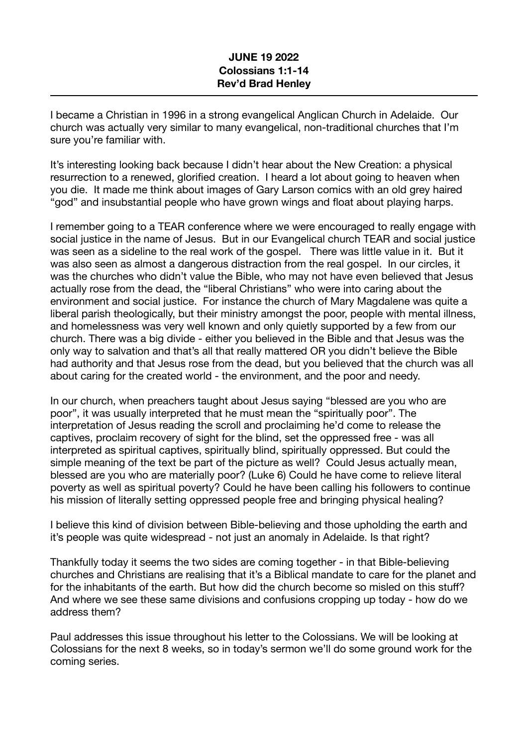## **JUNE 19 2022 Colossians 1:1-14 Rev'd Brad Henley**

I became a Christian in 1996 in a strong evangelical Anglican Church in Adelaide. Our church was actually very similar to many evangelical, non-traditional churches that I'm sure you're familiar with.

It's interesting looking back because I didn't hear about the New Creation: a physical resurrection to a renewed, glorified creation. I heard a lot about going to heaven when you die. It made me think about images of Gary Larson comics with an old grey haired "god" and insubstantial people who have grown wings and float about playing harps.

I remember going to a TEAR conference where we were encouraged to really engage with social justice in the name of Jesus. But in our Evangelical church TEAR and social justice was seen as a sideline to the real work of the gospel. There was little value in it. But it was also seen as almost a dangerous distraction from the real gospel. In our circles, it was the churches who didn't value the Bible, who may not have even believed that Jesus actually rose from the dead, the "liberal Christians" who were into caring about the environment and social justice. For instance the church of Mary Magdalene was quite a liberal parish theologically, but their ministry amongst the poor, people with mental illness, and homelessness was very well known and only quietly supported by a few from our church. There was a big divide - either you believed in the Bible and that Jesus was the only way to salvation and that's all that really mattered OR you didn't believe the Bible had authority and that Jesus rose from the dead, but you believed that the church was all about caring for the created world - the environment, and the poor and needy.

In our church, when preachers taught about Jesus saying "blessed are you who are poor", it was usually interpreted that he must mean the "spiritually poor". The interpretation of Jesus reading the scroll and proclaiming he'd come to release the captives, proclaim recovery of sight for the blind, set the oppressed free - was all interpreted as spiritual captives, spiritually blind, spiritually oppressed. But could the simple meaning of the text be part of the picture as well? Could Jesus actually mean, blessed are you who are materially poor? (Luke 6) Could he have come to relieve literal poverty as well as spiritual poverty? Could he have been calling his followers to continue his mission of literally setting oppressed people free and bringing physical healing?

I believe this kind of division between Bible-believing and those upholding the earth and it's people was quite widespread - not just an anomaly in Adelaide. Is that right?

Thankfully today it seems the two sides are coming together - in that Bible-believing churches and Christians are realising that it's a Biblical mandate to care for the planet and for the inhabitants of the earth. But how did the church become so misled on this stuff? And where we see these same divisions and confusions cropping up today - how do we address them?

Paul addresses this issue throughout his letter to the Colossians. We will be looking at Colossians for the next 8 weeks, so in today's sermon we'll do some ground work for the coming series.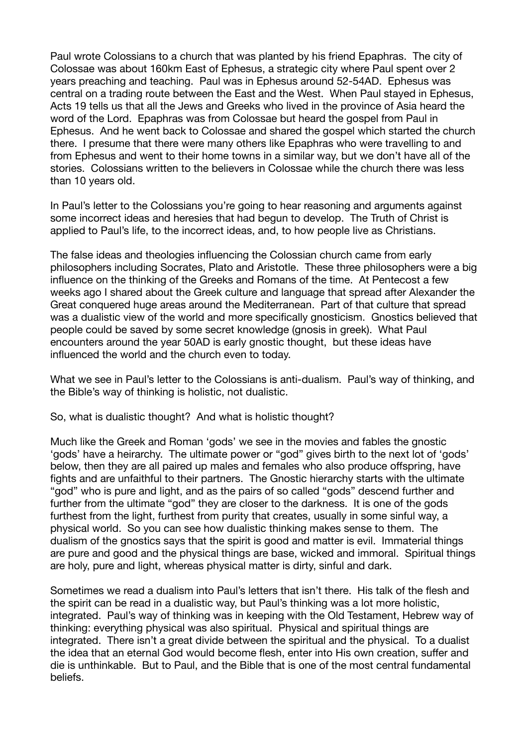Paul wrote Colossians to a church that was planted by his friend Epaphras. The city of Colossae was about 160km East of Ephesus, a strategic city where Paul spent over 2 years preaching and teaching. Paul was in Ephesus around 52-54AD. Ephesus was central on a trading route between the East and the West. When Paul stayed in Ephesus, Acts 19 tells us that all the Jews and Greeks who lived in the province of Asia heard the word of the Lord. Epaphras was from Colossae but heard the gospel from Paul in Ephesus. And he went back to Colossae and shared the gospel which started the church there. I presume that there were many others like Epaphras who were travelling to and from Ephesus and went to their home towns in a similar way, but we don't have all of the stories. Colossians written to the believers in Colossae while the church there was less than 10 years old.

In Paul's letter to the Colossians you're going to hear reasoning and arguments against some incorrect ideas and heresies that had begun to develop. The Truth of Christ is applied to Paul's life, to the incorrect ideas, and, to how people live as Christians.

The false ideas and theologies influencing the Colossian church came from early philosophers including Socrates, Plato and Aristotle. These three philosophers were a big influence on the thinking of the Greeks and Romans of the time. At Pentecost a few weeks ago I shared about the Greek culture and language that spread after Alexander the Great conquered huge areas around the Mediterranean. Part of that culture that spread was a dualistic view of the world and more specifically gnosticism. Gnostics believed that people could be saved by some secret knowledge (gnosis in greek). What Paul encounters around the year 50AD is early gnostic thought, but these ideas have influenced the world and the church even to today.

What we see in Paul's letter to the Colossians is anti-dualism. Paul's way of thinking, and the Bible's way of thinking is holistic, not dualistic.

So, what is dualistic thought? And what is holistic thought?

Much like the Greek and Roman 'gods' we see in the movies and fables the gnostic 'gods' have a heirarchy. The ultimate power or "god" gives birth to the next lot of 'gods' below, then they are all paired up males and females who also produce offspring, have fights and are unfaithful to their partners. The Gnostic hierarchy starts with the ultimate "god" who is pure and light, and as the pairs of so called "gods" descend further and further from the ultimate "god" they are closer to the darkness. It is one of the gods furthest from the light, furthest from purity that creates, usually in some sinful way, a physical world. So you can see how dualistic thinking makes sense to them. The dualism of the gnostics says that the spirit is good and matter is evil. Immaterial things are pure and good and the physical things are base, wicked and immoral. Spiritual things are holy, pure and light, whereas physical matter is dirty, sinful and dark.

Sometimes we read a dualism into Paul's letters that isn't there. His talk of the flesh and the spirit can be read in a dualistic way, but Paul's thinking was a lot more holistic, integrated. Paul's way of thinking was in keeping with the Old Testament, Hebrew way of thinking: everything physical was also spiritual. Physical and spiritual things are integrated. There isn't a great divide between the spiritual and the physical. To a dualist the idea that an eternal God would become flesh, enter into His own creation, suffer and die is unthinkable. But to Paul, and the Bible that is one of the most central fundamental beliefs.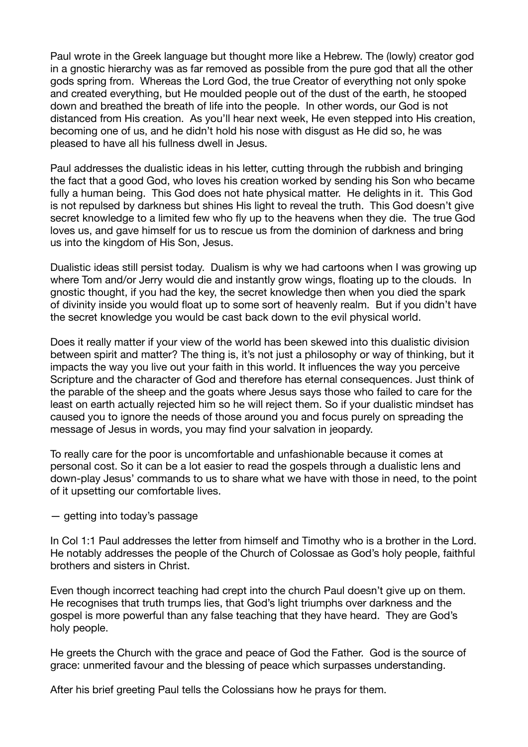Paul wrote in the Greek language but thought more like a Hebrew. The (lowly) creator god in a gnostic hierarchy was as far removed as possible from the pure god that all the other gods spring from. Whereas the Lord God, the true Creator of everything not only spoke and created everything, but He moulded people out of the dust of the earth, he stooped down and breathed the breath of life into the people. In other words, our God is not distanced from His creation. As you'll hear next week, He even stepped into His creation, becoming one of us, and he didn't hold his nose with disgust as He did so, he was pleased to have all his fullness dwell in Jesus.

Paul addresses the dualistic ideas in his letter, cutting through the rubbish and bringing the fact that a good God, who loves his creation worked by sending his Son who became fully a human being. This God does not hate physical matter. He delights in it. This God is not repulsed by darkness but shines His light to reveal the truth. This God doesn't give secret knowledge to a limited few who fly up to the heavens when they die. The true God loves us, and gave himself for us to rescue us from the dominion of darkness and bring us into the kingdom of His Son, Jesus.

Dualistic ideas still persist today. Dualism is why we had cartoons when I was growing up where Tom and/or Jerry would die and instantly grow wings, floating up to the clouds. In gnostic thought, if you had the key, the secret knowledge then when you died the spark of divinity inside you would float up to some sort of heavenly realm. But if you didn't have the secret knowledge you would be cast back down to the evil physical world.

Does it really matter if your view of the world has been skewed into this dualistic division between spirit and matter? The thing is, it's not just a philosophy or way of thinking, but it impacts the way you live out your faith in this world. It influences the way you perceive Scripture and the character of God and therefore has eternal consequences. Just think of the parable of the sheep and the goats where Jesus says those who failed to care for the least on earth actually rejected him so he will reject them. So if your dualistic mindset has caused you to ignore the needs of those around you and focus purely on spreading the message of Jesus in words, you may find your salvation in jeopardy.

To really care for the poor is uncomfortable and unfashionable because it comes at personal cost. So it can be a lot easier to read the gospels through a dualistic lens and down-play Jesus' commands to us to share what we have with those in need, to the point of it upsetting our comfortable lives.

— getting into today's passage

In Col 1:1 Paul addresses the letter from himself and Timothy who is a brother in the Lord. He notably addresses the people of the Church of Colossae as God's holy people, faithful brothers and sisters in Christ.

Even though incorrect teaching had crept into the church Paul doesn't give up on them. He recognises that truth trumps lies, that God's light triumphs over darkness and the gospel is more powerful than any false teaching that they have heard. They are God's holy people.

He greets the Church with the grace and peace of God the Father. God is the source of grace: unmerited favour and the blessing of peace which surpasses understanding.

After his brief greeting Paul tells the Colossians how he prays for them.